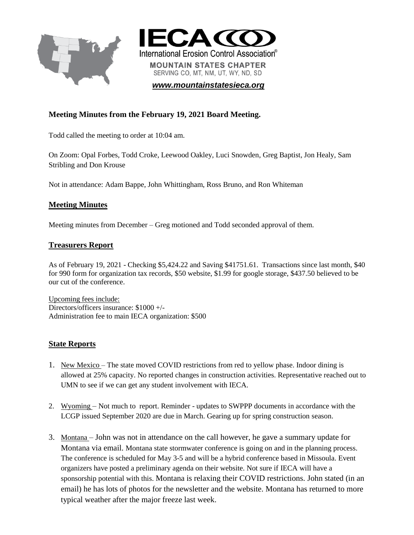



*[www.mountainstatesieca.org](http://www.mountainstatesieca.org/)*

## **Meeting Minutes from the February 19, 2021 Board Meeting.**

Todd called the meeting to order at 10:04 am.

On Zoom: Opal Forbes, Todd Croke, Leewood Oakley, Luci Snowden, Greg Baptist, Jon Healy, Sam Stribling and Don Krouse

Not in attendance: Adam Bappe, John Whittingham, Ross Bruno, and Ron Whiteman

### **Meeting Minutes**

Meeting minutes from December – Greg motioned and Todd seconded approval of them.

### **Treasurers Report**

As of February 19, 2021 - Checking \$5,424.22 and Saving \$41751.61. Transactions since last month, \$40 for 990 form for organization tax records, \$50 website, \$1.99 for google storage, \$437.50 believed to be our cut of the conference.

Upcoming fees include: Directors/officers insurance: \$1000 +/- Administration fee to main IECA organization: \$500

### **State Reports**

- 1. New Mexico The state moved COVID restrictions from red to yellow phase. Indoor dining is allowed at 25% capacity. No reported changes in construction activities. Representative reached out to UMN to see if we can get any student involvement with IECA.
- 2. Wyoming Not much to report. Reminder updates to SWPPP documents in accordance with the LCGP issued September 2020 are due in March. Gearing up for spring construction season.
- 3. Montana John was not in attendance on the call however, he gave a summary update for Montana via email. Montana state stormwater conference is going on and in the planning process. The conference is scheduled for May 3-5 and will be a hybrid conference based in Missoula. Event organizers have posted a preliminary agenda on their website. Not sure if IECA will have a sponsorship potential with this. Montana is relaxing their COVID restrictions. John stated (in an email) he has lots of photos for the newsletter and the website. Montana has returned to more typical weather after the major freeze last week.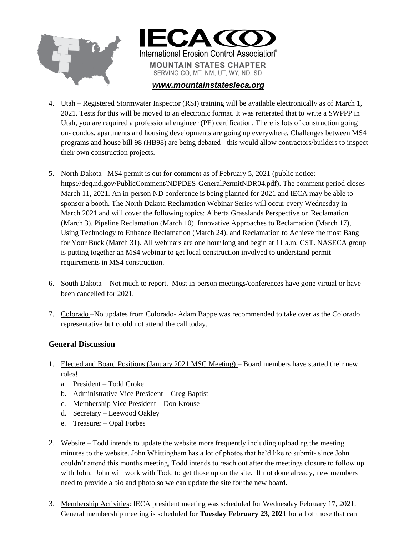



#### *[www.mountainstatesieca.org](http://www.mountainstatesieca.org/)*

- 4. Utah Registered Stormwater Inspector (RSI) training will be available electronically as of March 1, 2021. Tests for this will be moved to an electronic format. It was reiterated that to write a SWPPP in Utah, you are required a professional engineer (PE) certification. There is lots of construction going on- condos, apartments and housing developments are going up everywhere. Challenges between MS4 programs and house bill 98 (HB98) are being debated - this would allow contractors/builders to inspect their own construction projects.
- 5. North Dakota –MS4 permit is out for comment as of February 5, 2021 (public notice: https://deq.nd.gov/PublicComment/NDPDES-GeneralPermitNDR04.pdf). The comment period closes March 11, 2021. An in-person ND conference is being planned for 2021 and IECA may be able to sponsor a booth. The North Dakota Reclamation Webinar Series will occur every Wednesday in March 2021 and will cover the following topics: Alberta Grasslands Perspective on Reclamation (March 3), Pipeline Reclamation (March 10), Innovative Approaches to Reclamation (March 17), Using Technology to Enhance Reclamation (March 24), and Reclamation to Achieve the most Bang for Your Buck (March 31). All webinars are one hour long and begin at 11 a.m. CST. NASECA group is putting together an MS4 webinar to get local construction involved to understand permit requirements in MS4 construction.
- 6. South Dakota Not much to report. Most in-person meetings/conferences have gone virtual or have been cancelled for 2021.
- 7. Colorado –No updates from Colorado- Adam Bappe was recommended to take over as the Colorado representative but could not attend the call today.

### **General Discussion**

- 1. Elected and Board Positions (January 2021 MSC Meeting) Board members have started their new roles!
	- a. President Todd Croke
	- b. Administrative Vice President Greg Baptist
	- c. Membership Vice President Don Krouse
	- d. Secretary Leewood Oakley
	- e. Treasurer Opal Forbes
- 2. Website Todd intends to update the website more frequently including uploading the meeting minutes to the website. John Whittingham has a lot of photos that he'd like to submit- since John couldn't attend this months meeting, Todd intends to reach out after the meetings closure to follow up with John. John will work with Todd to get those up on the site. If not done already, new members need to provide a bio and photo so we can update the site for the new board.
- 3. Membership Activities: IECA president meeting was scheduled for Wednesday February 17, 2021. General membership meeting is scheduled for **Tuesday February 23, 2021** for all of those that can